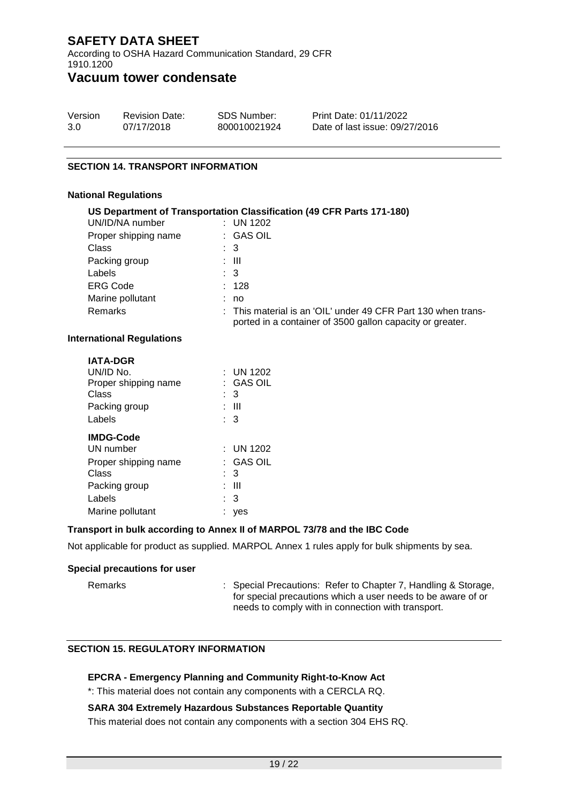According to OSHA Hazard Communication Standard, 29 CFR 1910.1200

## **Vacuum tower condensate**

| Version               | SDS Number: | Print Date: 4/01/2022         |
|-----------------------|-------------|-------------------------------|
| <b>Revision Date:</b> | VRAM00046   | Date of last issue: 4/01/2022 |

### **SECTION 14. TRANSPORT INFORMATION**

#### **National Regulations**

| US Department of Transportation Classification (49 CFR Parts 171-180) |  |                                                                                                                            |  |
|-----------------------------------------------------------------------|--|----------------------------------------------------------------------------------------------------------------------------|--|
| UN/ID/NA number                                                       |  | : UN 1202                                                                                                                  |  |
| Proper shipping name                                                  |  | : GAS OIL                                                                                                                  |  |
| <b>Class</b>                                                          |  | : 3                                                                                                                        |  |
| Packing group                                                         |  | : III                                                                                                                      |  |
| Labels                                                                |  | $\therefore$ 3                                                                                                             |  |
| <b>ERG Code</b>                                                       |  | : 128                                                                                                                      |  |
| Marine pollutant                                                      |  | : no                                                                                                                       |  |
| <b>Remarks</b>                                                        |  | : This material is an 'OIL' under 49 CFR Part 130 when trans-<br>ported in a container of 3500 gallon capacity or greater. |  |

## **International Regulations**

| <b>IATA-DGR</b>      |    |                  |
|----------------------|----|------------------|
| UN/ID No.            |    | : UN 1202        |
| Proper shipping name |    | $\colon$ GAS OIL |
| Class                |    | : 3              |
| Packing group        |    | : III            |
| Labels               |    | : 3              |
| <b>IMDG-Code</b>     |    |                  |
| UN number            |    | : UN 1202        |
| Proper shipping name |    | : GAS OIL        |
| Class                |    | : 3              |
| Packing group        |    | : III            |
| Labels               |    | : 3              |
| Marine pollutant     | t. | yes              |

## **Transport in bulk according to Annex II of MARPOL 73/78 and the IBC Code**

Not applicable for product as supplied. MARPOL Annex 1 rules apply for bulk shipments by sea.

## **Special precautions for user**

Remarks : Special Precautions: Refer to Chapter 7, Handling & Storage, for special precautions which a user needs to be aware of or needs to comply with in connection with transport.

## **SECTION 15. REGULATORY INFORMATION**

## **EPCRA - Emergency Planning and Community Right-to-Know Act**

\*: This material does not contain any components with a CERCLA RQ.

#### **SARA 304 Extremely Hazardous Substances Reportable Quantity**

This material does not contain any components with a section 304 EHS RQ.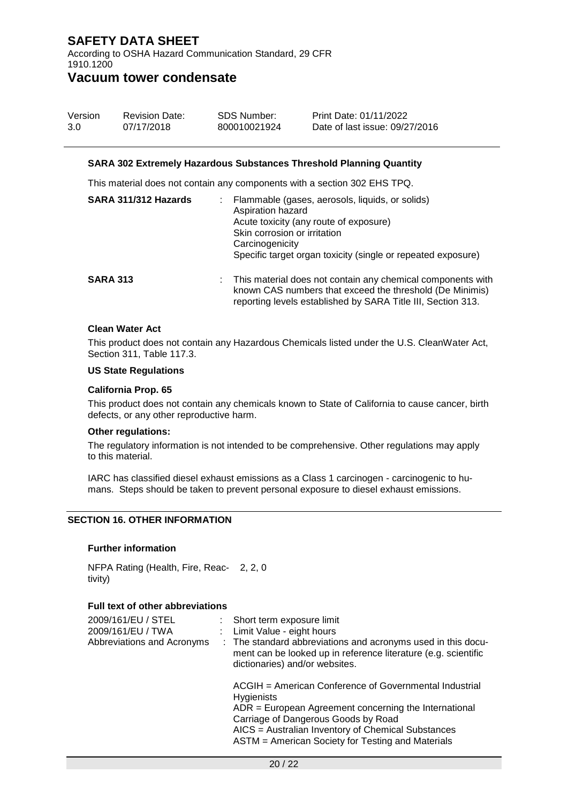According to OSHA Hazard Communication Standard, 29 CFR 1910.1200

## **Vacuum tower condensate**

| Version | <b>Revision Date:</b> | SDS Number: | Print Date: 4/01/2022         |
|---------|-----------------------|-------------|-------------------------------|
| 1.0     | 4/01/2022             | VRAM00046   | Date of last issue: 4/01/2022 |

#### **SARA 302 Extremely Hazardous Substances Threshold Planning Quantity**

This material does not contain any components with a section 302 EHS TPQ.

| SARA 311/312 Hazards | Flammable (gases, aerosols, liquids, or solids)<br>Aspiration hazard<br>Acute toxicity (any route of exposure)<br>Skin corrosion or irritation<br>Carcinogenicity<br>Specific target organ toxicity (single or repeated exposure) |
|----------------------|-----------------------------------------------------------------------------------------------------------------------------------------------------------------------------------------------------------------------------------|
| <b>SARA 313</b>      | : This material does not contain any chemical components with<br>known CAS numbers that exceed the threshold (De Minimis)<br>reporting levels established by SARA Title III, Section 313.                                         |

#### **Clean Water Act**

This product does not contain any Hazardous Chemicals listed under the U.S. CleanWater Act, Section 311, Table 117.3.

## **US State Regulations**

#### **California Prop. 65**

This product does not contain any chemicals known to State of California to cause cancer, birth defects, or any other reproductive harm.

#### **Other regulations:**

The regulatory information is not intended to be comprehensive. Other regulations may apply to this material.

IARC has classified diesel exhaust emissions as a Class 1 carcinogen - carcinogenic to humans. Steps should be taken to prevent personal exposure to diesel exhaust emissions.

## **SECTION 16. OTHER INFORMATION**

#### **Further information**

NFPA Rating (Health, Fire, Reac-2, 2, 0 tivity)

#### **Full text of other abbreviations**

| 2009/161/EU / STEL<br>2009/161/EU / TWA<br>Abbreviations and Acronyms | : Short term exposure limit<br>: Limit Value - eight hours<br>: The standard abbreviations and acronyms used in this docu-<br>ment can be looked up in reference literature (e.g. scientific<br>dictionaries) and/or websites.                                                           |
|-----------------------------------------------------------------------|------------------------------------------------------------------------------------------------------------------------------------------------------------------------------------------------------------------------------------------------------------------------------------------|
|                                                                       | ACGIH = American Conference of Governmental Industrial<br><b>Hygienists</b><br>$ADR = European Agreement concerning the International$<br>Carriage of Dangerous Goods by Road<br>AICS = Australian Inventory of Chemical Substances<br>ASTM = American Society for Testing and Materials |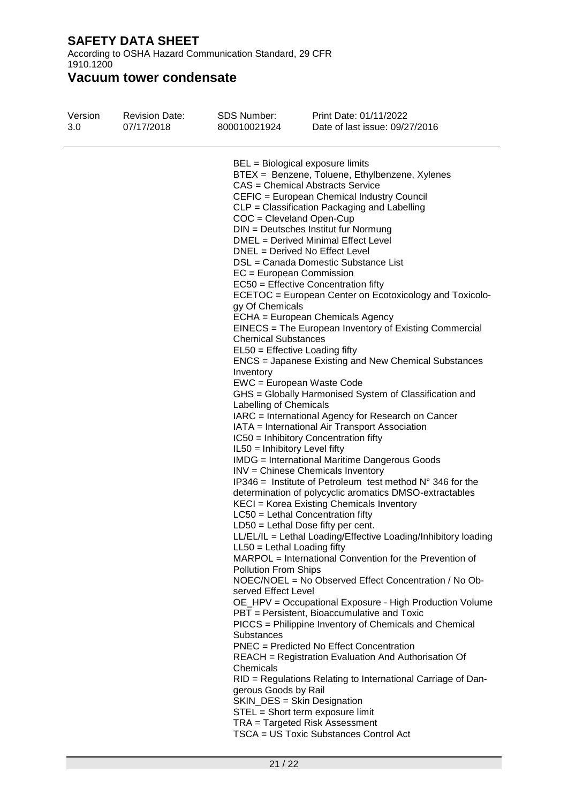According to OSHA Hazard Communication Standard, 29 CFR 1910.1200

# **Vacuum tower condensate**

| Version<br>1.0 | 4/01/2022             | VRAM00046                                                                                                                                                                                                                                                                                                               | Date of last issue: 4/01/2022                                                                                                                                                                                                                                                                                                                                                                                                                                                                                                                                                                                                                                                                                                                                                                                                                                                                                                                                                                                                                                                                                                                                                                                                                                                                                                                                                                                                                                                                                                                                                                                                                                                                                                                                                                                                   |
|----------------|-----------------------|-------------------------------------------------------------------------------------------------------------------------------------------------------------------------------------------------------------------------------------------------------------------------------------------------------------------------|---------------------------------------------------------------------------------------------------------------------------------------------------------------------------------------------------------------------------------------------------------------------------------------------------------------------------------------------------------------------------------------------------------------------------------------------------------------------------------------------------------------------------------------------------------------------------------------------------------------------------------------------------------------------------------------------------------------------------------------------------------------------------------------------------------------------------------------------------------------------------------------------------------------------------------------------------------------------------------------------------------------------------------------------------------------------------------------------------------------------------------------------------------------------------------------------------------------------------------------------------------------------------------------------------------------------------------------------------------------------------------------------------------------------------------------------------------------------------------------------------------------------------------------------------------------------------------------------------------------------------------------------------------------------------------------------------------------------------------------------------------------------------------------------------------------------------------|
|                | <b>Revision Date:</b> | <b>SDS Number:</b><br>COC = Cleveland Open-Cup<br>$EC = European Commission$<br>gy Of Chemicals<br><b>Chemical Substances</b><br>Inventory<br>Labelling of Chemicals<br>IL50 = Inhibitory Level fifty<br>$LL50 = Lethal$ Loading fifty<br><b>Pollution From Ships</b><br>served Effect Level<br>Substances<br>Chemicals | Print Date: 4/01/2022<br>BEL = Biological exposure limits<br>BTEX = Benzene, Toluene, Ethylbenzene, Xylenes<br>CAS = Chemical Abstracts Service<br>CEFIC = European Chemical Industry Council<br>CLP = Classification Packaging and Labelling<br>DIN = Deutsches Institut fur Normung<br>DMEL = Derived Minimal Effect Level<br>DNEL = Derived No Effect Level<br>DSL = Canada Domestic Substance List<br>EC50 = Effective Concentration fifty<br>ECETOC = European Center on Ecotoxicology and Toxicolo-<br>ECHA = European Chemicals Agency<br>EINECS = The European Inventory of Existing Commercial<br>EL50 = Effective Loading fifty<br>ENCS = Japanese Existing and New Chemical Substances<br>EWC = European Waste Code<br>GHS = Globally Harmonised System of Classification and<br>IARC = International Agency for Research on Cancer<br>IATA = International Air Transport Association<br>IC50 = Inhibitory Concentration fifty<br><b>IMDG</b> = International Maritime Dangerous Goods<br>INV = Chinese Chemicals Inventory<br>IP346 = Institute of Petroleum test method $N^{\circ}$ 346 for the<br>determination of polycyclic aromatics DMSO-extractables<br>KECI = Korea Existing Chemicals Inventory<br>LC50 = Lethal Concentration fifty<br>$LD50 = Lethal Does fifty per cent.$<br>LL/EL/IL = Lethal Loading/Effective Loading/Inhibitory loading<br>MARPOL = International Convention for the Prevention of<br>NOEC/NOEL = No Observed Effect Concentration / No Ob-<br>OE_HPV = Occupational Exposure - High Production Volume<br>PBT = Persistent, Bioaccumulative and Toxic<br>PICCS = Philippine Inventory of Chemicals and Chemical<br>PNEC = Predicted No Effect Concentration<br>REACH = Registration Evaluation And Authorisation Of<br>RID = Regulations Relating to International Carriage of Dan- |
|                |                       | gerous Goods by Rail                                                                                                                                                                                                                                                                                                    | SKIN_DES = Skin Designation<br>STEL = Short term exposure limit<br>TRA = Targeted Risk Assessment<br>TSCA = US Toxic Substances Control Act                                                                                                                                                                                                                                                                                                                                                                                                                                                                                                                                                                                                                                                                                                                                                                                                                                                                                                                                                                                                                                                                                                                                                                                                                                                                                                                                                                                                                                                                                                                                                                                                                                                                                     |